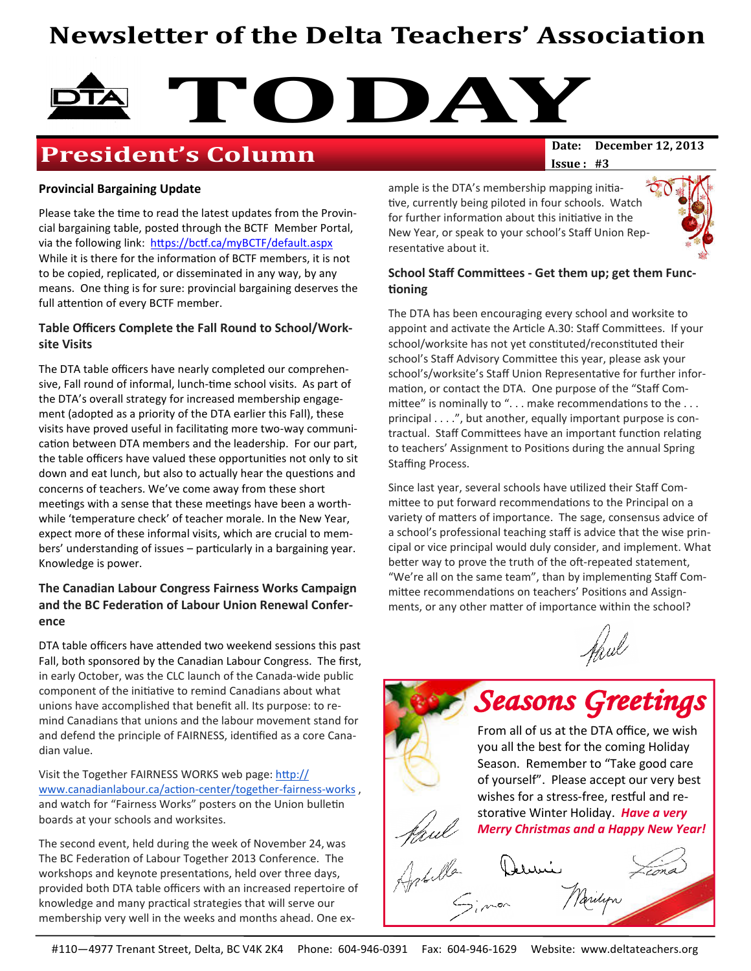# Newsletter of the Delta Teachers' Association



## **President's Column**

 $Issue: #3$ 

#### Provincial Bargaining Update

Please take the time to read the latest updates from the Provincial bargaining table, posted through the BCTF Member Portal, via the following link: https://bctf.ca/myBCTF/default.aspx While it is there for the information of BCTF members, it is not to be copied, replicated, or disseminated in any way, by any means. One thing is for sure: provincial bargaining deserves the full attention of every BCTF member.

#### Table Officers Complete the Fall Round to School/Worksite Visits

The DTA table officers have nearly completed our comprehensive, Fall round of informal, lunch-time school visits. As part of the DTA's overall strategy for increased membership engagement (adopted as a priority of the DTA earlier this Fall), these visits have proved useful in facilitating more two-way communication between DTA members and the leadership. For our part, the table officers have valued these opportunities not only to sit down and eat lunch, but also to actually hear the questions and concerns of teachers. We've come away from these short meetings with a sense that these meetings have been a worthwhile 'temperature check' of teacher morale. In the New Year, expect more of these informal visits, which are crucial to members' understanding of issues  $-$  particularly in a bargaining year. Knowledge is power.

#### The Canadian Labour Congress Fairness Works Campaign and the BC Federation of Labour Union Renewal Conference

DTA table officers have attended two weekend sessions this past Fall, both sponsored by the Canadian Labour Congress. The first, in early October, was the CLC launch of the Canada-wide public component of the initiative to remind Canadians about what unions have accomplished that benefit all. Its purpose: to remind Canadians that unions and the labour movement stand for and defend the principle of FAIRNESS, identified as a core Canadian value.

Visit the Together FAIRNESS WORKS web page: http:// www.canadianlabour.ca/action-center/together-fairness-works, and watch for "Fairness Works" posters on the Union bulletin boards at your schools and worksites.

The second event, held during the week of November 24, was The BC Federation of Labour Together 2013 Conference. The workshops and keynote presentations, held over three days, provided both DTA table officers with an increased repertoire of knowledge and many practical strategies that will serve our membership very well in the weeks and months ahead. One example is the DTA's membership mapping initiative, currently being piloted in four schools. Watch for further information about this initiative in the New Year, or speak to your school's Staff Union Representative about it.



#### School Staff Committees - Get them up; get them Functioning

The DTA has been encouraging every school and worksite to appoint and activate the Article A.30: Staff Committees. If your school/worksite has not yet constituted/reconstituted their school's Staff Advisory Committee this year, please ask your school's/worksite's Staff Union Representative for further information, or contact the DTA. One purpose of the "Staff Committee" is nominally to "... make recommendations to the ... principal . . . .", but another, equally important purpose is contractual. Staff Committees have an important function relating to teachers' Assignment to Positions during the annual Spring Staffing Process.

Since last year, several schools have utilized their Staff Committee to put forward recommendations to the Principal on a variety of matters of importance. The sage, consensus advice of a school's professional teaching staff is advice that the wise principal or vice principal would duly consider, and implement. What better way to prove the truth of the oft-repeated statement, "We're all on the same team", than by implementing Staff Committee recommendations on teachers' Positions and Assignments, or any other matter of importance within the school?